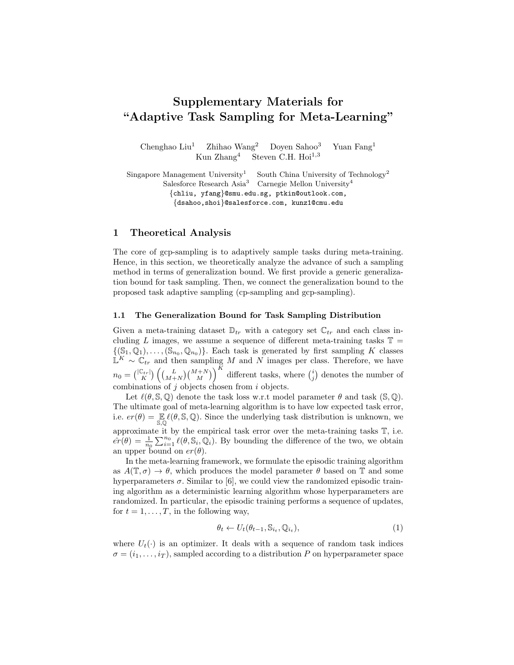# Supplementary Materials for "Adaptive Task Sampling for Meta-Learning"

Chenghao Liu<sup>1</sup> Zhihao Wang<sup>2</sup> Doyen Sahoo<sup>3</sup> Yuan Fang<sup>1</sup> Kun  $\mathrm{Zhang}^4$  Steven C.H. Hoi<sup>1,3</sup>

Singapore Management University<sup>1</sup> South China University of Technology<sup>2</sup> Salesforce Research Asia<sup>3</sup> Carnegie Mellon University<sup>4</sup> {chliu, yfang}@smu.edu.sg, ptkin@outlook.com, {dsahoo,shoi}@salesforce.com, kunz1@cmu.edu

## 1 Theoretical Analysis

The core of gcp-sampling is to adaptively sample tasks during meta-training. Hence, in this section, we theoretically analyze the advance of such a sampling method in terms of generalization bound. We first provide a generic generalization bound for task sampling. Then, we connect the generalization bound to the proposed task adaptive sampling (cp-sampling and gcp-sampling).

### 1.1 The Generalization Bound for Task Sampling Distribution

Given a meta-training dataset  $\mathbb{D}_{tr}$  with a category set  $\mathbb{C}_{tr}$  and each class including L images, we assume a sequence of different meta-training tasks  $\mathbb{T} =$  $\{(\mathbb{S}_1, \mathbb{Q}_1), \ldots, (\mathbb{S}_{n_0}, \mathbb{Q}_{n_0})\}$ . Each task is generated by first sampling K classes  $\mathbb{L}^K \sim \mathbb{C}_{tr}$  and then sampling M and N images per class. Therefore, we have  $n_0 = \binom{|\mathbb{C}_{tr}|}{K} \left( \binom{L}{M+N} \binom{M+N}{M} \right)^K$  different tasks, where  $\binom{i}{j}$  denotes the number of combinations of  $j$  objects chosen from  $i$  objects.

Let  $\ell(\theta, \mathbb{S}, \mathbb{Q})$  denote the task loss w.r.t model parameter  $\theta$  and task ( $\mathbb{S}, \mathbb{Q}$ ). The ultimate goal of meta-learning algorithm is to have low expected task error, i.e.  $er(\theta) = \mathbb{E}\left[\ell(\theta, \mathbb{S}, \mathbb{Q})\right]$ . Since the underlying task distribution is unknown, we approximate it by the empirical task error over the meta-training tasks T, i.e.  $er(\theta) = \frac{1}{n_0} \sum_{i=1}^{n_0} \ell(\theta, \mathbb{S}_i, \mathbb{Q}_i)$ . By bounding the difference of the two, we obtain an upper bound on  $er(\theta)$ .

In the meta-learning framework, we formulate the episodic training algorithm as  $A(\mathbb{T}, \sigma) \to \theta$ , which produces the model parameter  $\theta$  based on  $\mathbb{T}$  and some hyperparameters  $\sigma$ . Similar to [6], we could view the randomized episodic training algorithm as a deterministic learning algorithm whose hyperparameters are randomized. In particular, the episodic training performs a sequence of updates, for  $t = 1, \ldots, T$ , in the following way,

$$
\theta_t \leftarrow U_t(\theta_{t-1}, \mathbb{S}_{i_t}, \mathbb{Q}_{i_t}),\tag{1}
$$

where  $U_t(\cdot)$  is an optimizer. It deals with a sequence of random task indices  $\sigma = (i_1, \ldots, i_T)$ , sampled according to a distribution P on hyperparameter space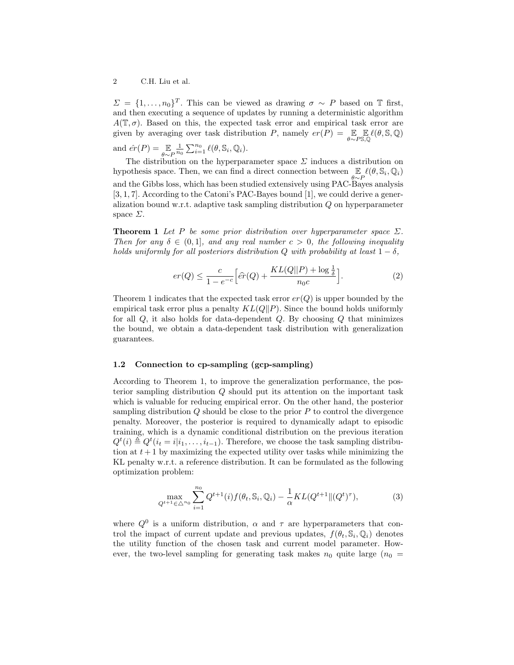#### 2 C.H. Liu et al.

 $\Sigma = \{1, \ldots, n_0\}^T$ . This can be viewed as drawing  $\sigma \sim P$  based on T first, and then executing a sequence of updates by running a deterministic algorithm  $A(\mathbb{T}, \sigma)$ . Based on this, the expected task error and empirical task error are given by averaging over task distribution P, namely  $er(P) = \mathbb{E}_{\theta \sim P}$  $\mathbb{E}_{\mathbb{S},\mathbb{Q}} \ell(\theta,\mathbb{S},\mathbb{Q})$ and  $\hat{er}(P) = \mathop{\mathbb{E}}_{\theta \sim P}$  $\frac{1}{n_0} \sum_{i=1}^{n_0} \ell(\theta, \mathbb{S}_i, \mathbb{Q}_i).$ 

The distribution on the hyperparameter space  $\Sigma$  induces a distribution on hypothesis space. Then, we can find a direct connection between  $\mathbb{E}_{\theta \sim P} \ell(\theta, \mathbb{S}_i, \mathbb{Q}_i)$ and the Gibbs loss, which has been studied extensively using PAC-Bayes analysis [3, 1, 7]. According to the Catoni's PAC-Bayes bound [1], we could derive a generalization bound w.r.t. adaptive task sampling distribution Q on hyperparameter space  $\Sigma$ .

**Theorem 1** Let P be some prior distribution over hyperparameter space  $\Sigma$ . Then for any  $\delta \in (0,1]$ , and any real number  $c > 0$ , the following inequality holds uniformly for all posteriors distribution Q with probability at least  $1 - \delta$ ,

$$
er(Q) \le \frac{c}{1 - e^{-c}} \Big[ \hat{er}(Q) + \frac{KL(Q||P) + \log \frac{1}{\delta}}{n_0 c} \Big].
$$
 (2)

Theorem 1 indicates that the expected task error  $er(Q)$  is upper bounded by the empirical task error plus a penalty  $KL(Q||P)$ . Since the bound holds uniformly for all  $Q$ , it also holds for data-dependent  $Q$ . By choosing  $Q$  that minimizes the bound, we obtain a data-dependent task distribution with generalization guarantees.

## 1.2 Connection to cp-sampling (gcp-sampling)

According to Theorem 1, to improve the generalization performance, the posterior sampling distribution Q should put its attention on the important task which is valuable for reducing empirical error. On the other hand, the posterior sampling distribution  $Q$  should be close to the prior  $P$  to control the divergence penalty. Moreover, the posterior is required to dynamically adapt to episodic training, which is a dynamic conditional distribution on the previous iteration  $Q^t(i) \triangleq Q^t(i_t = i | i_1, \ldots, i_{t-1})$ . Therefore, we choose the task sampling distribution at  $t + 1$  by maximizing the expected utility over tasks while minimizing the KL penalty w.r.t. a reference distribution. It can be formulated as the following optimization problem:

$$
\max_{Q^{t+1} \in \triangle^{n_0}} \sum_{i=1}^{n_0} Q^{t+1}(i) f(\theta_t, \mathbb{S}_i, \mathbb{Q}_i) - \frac{1}{\alpha} KL(Q^{t+1} \| (Q^t)^{\tau}), \tag{3}
$$

where  $Q^0$  is a uniform distribution,  $\alpha$  and  $\tau$  are hyperparameters that control the impact of current update and previous updates,  $f(\theta_t, \mathbb{S}_i, \mathbb{Q}_i)$  denotes the utility function of the chosen task and current model parameter. However, the two-level sampling for generating task makes  $n_0$  quite large  $(n_0 =$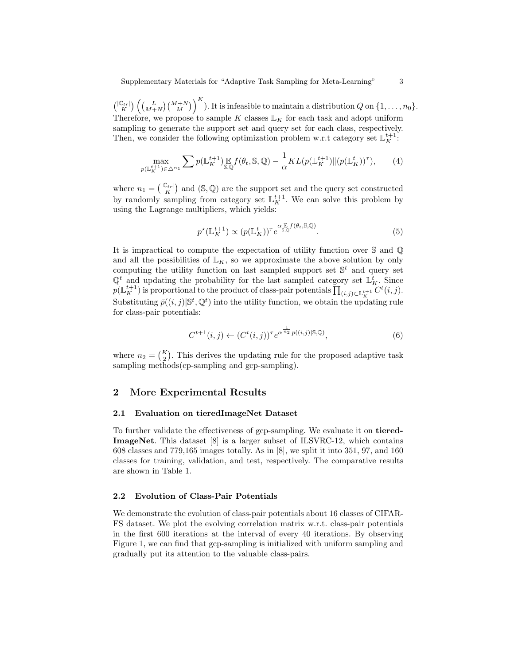$\binom{|\mathbb{C}_{tr}|}{K} \left(\binom{L}{M+N}\binom{M+N}{M}\right)^K$ . It is infeasible to maintain a distribution Q on  $\{1,\ldots,n_0\}$ . Therefore, we propose to sample K classes  $\mathbb{L}_K$  for each task and adopt uniform sampling to generate the support set and query set for each class, respectively. Then, we consider the following optimization problem w.r.t category set  $\mathbb{L}_{K}^{t+1}$ .

$$
\max_{p(\mathbb{L}_K^{t+1}) \in \triangle^{n_1}} \sum p(\mathbb{L}_K^{t+1}) \mathop{\mathbb{E}}_{S,\mathbb{Q}} f(\theta_t, S, \mathbb{Q}) - \frac{1}{\alpha} KL(p(\mathbb{L}_K^{t+1}) \| (p(\mathbb{L}_K^t))^{\tau}), \tag{4}
$$

where  $n_1 = \binom{|\mathbb{C}_{tr}|}{K}$  and  $(\mathbb{S}, \mathbb{Q})$  are the support set and the query set constructed by randomly sampling from category set  $\mathbb{L}_K^{t+1}$ . We can solve this problem by using the Lagrange multipliers, which yields:

$$
p^{\star}(\mathbb{L}_K^{t+1}) \propto (p(\mathbb{L}_K^t))^{\tau} e^{\alpha \mathbb{E}_S f(\theta_t, \mathbb{S}, \mathbb{Q})}.
$$
\n
$$
(5)
$$

It is impractical to compute the expectation of utility function over S and Q and all the possibilities of  $\mathbb{L}_K$ , so we approximate the above solution by only computing the utility function on last sampled support set  $\mathbb{S}^t$  and query set  $\mathbb{Q}^t$  and updating the probability for the last sampled category set  $\mathbb{L}_K^t$ . Since  $p(\mathbb{L}_K^{t+1})$  is proportional to the product of class-pair potentials  $\prod_{(i,j)\in\mathbb{L}_K^{t+1}} C^t(i,j)$ . Substituting  $\bar{p}((i,j)|\mathbb{S}^t, \mathbb{Q}^t)$  into the utility function, we obtain the updating rule for class-pair potentials:

$$
C^{t+1}(i,j) \leftarrow (C^t(i,j))^{\tau} e^{\alpha^{\frac{1}{n_2}} \bar{p}((i,j)|\mathbb{S},\mathbb{Q})},\tag{6}
$$

where  $n_2 = \binom{K}{2}$ . This derives the updating rule for the proposed adaptive task sampling methods(cp-sampling and gcp-sampling).

## 2 More Experimental Results

### 2.1 Evaluation on tieredImageNet Dataset

To further validate the effectiveness of gcp-sampling. We evaluate it on tiered-ImageNet. This dataset [8] is a larger subset of ILSVRC-12, which contains 608 classes and 779,165 images totally. As in [8], we split it into 351, 97, and 160 classes for training, validation, and test, respectively. The comparative results are shown in Table 1.

## 2.2 Evolution of Class-Pair Potentials

We demonstrate the evolution of class-pair potentials about 16 classes of CIFAR-FS dataset. We plot the evolving correlation matrix w.r.t. class-pair potentials in the first 600 iterations at the interval of every 40 iterations. By observing Figure 1, we can find that gcp-sampling is initialized with uniform sampling and gradually put its attention to the valuable class-pairs.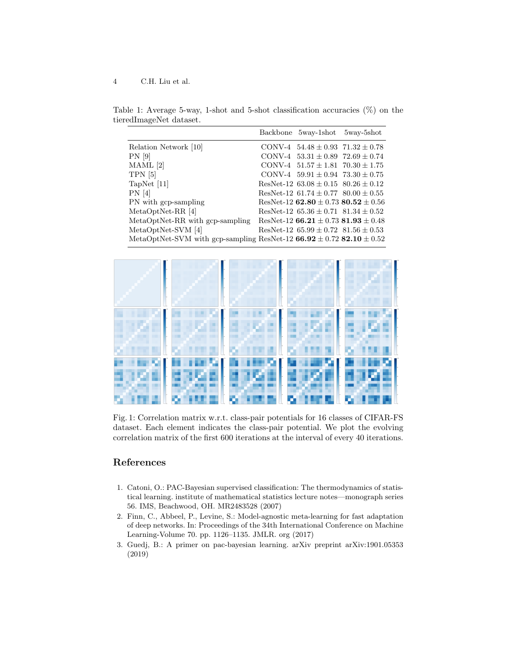#### 4 C.H. Liu et al.

Table 1: Average 5-way, 1-shot and 5-shot classification accuracies  $(\%)$  on the tieredImageNet dataset.

|                                                                              | Backbone 5way-1shot 5way-5shot              |  |
|------------------------------------------------------------------------------|---------------------------------------------|--|
| Relation Network [10]                                                        | CONV-4 $54.48 \pm 0.93$ $71.32 \pm 0.78$    |  |
| $PN$ [9]                                                                     | CONV-4 $53.31 \pm 0.89$ $72.69 \pm 0.74$    |  |
| $MAML$ [2]                                                                   | CONV-4 $51.57 \pm 1.81$ $70.30 \pm 1.75$    |  |
| $TPN$ [5]                                                                    | CONV-4 $59.91 \pm 0.94$ $73.30 \pm 0.75$    |  |
| TapNet $ 11 $                                                                | ResNet-12 $63.08 \pm 0.15$ $80.26 \pm 0.12$ |  |
| PN[4]                                                                        | ResNet-12 $61.74 \pm 0.77$ $80.00 \pm 0.55$ |  |
| PN with gcp-sampling                                                         | ResNet-12 $62.80 \pm 0.73$ $80.52 \pm 0.56$ |  |
| $MetaOptNet-RR[4]$                                                           | ResNet-12 $65.36 \pm 0.71$ $81.34 \pm 0.52$ |  |
| MetaOptNet-RR with gcp-sampling                                              | ResNet-12 66.21 $\pm$ 0.73 81.93 $\pm$ 0.48 |  |
| MetaOptNet-SVM [4]                                                           | ResNet-12 $65.99 \pm 0.72$ $81.56 \pm 0.53$ |  |
| MetaOptNet-SVM with gcp-sampling ResNet-12 66.92 $\pm$ 0.72 82.10 $\pm$ 0.52 |                                             |  |



Fig. 1: Correlation matrix w.r.t. class-pair potentials for 16 classes of CIFAR-FS dataset. Each element indicates the class-pair potential. We plot the evolving correlation matrix of the first 600 iterations at the interval of every 40 iterations.

## References

- 1. Catoni, O.: PAC-Bayesian supervised classification: The thermodynamics of statistical learning. institute of mathematical statistics lecture notes—monograph series 56. IMS, Beachwood, OH. MR2483528 (2007)
- 2. Finn, C., Abbeel, P., Levine, S.: Model-agnostic meta-learning for fast adaptation of deep networks. In: Proceedings of the 34th International Conference on Machine Learning-Volume 70. pp. 1126–1135. JMLR. org (2017)
- 3. Guedj, B.: A primer on pac-bayesian learning. arXiv preprint arXiv:1901.05353 (2019)